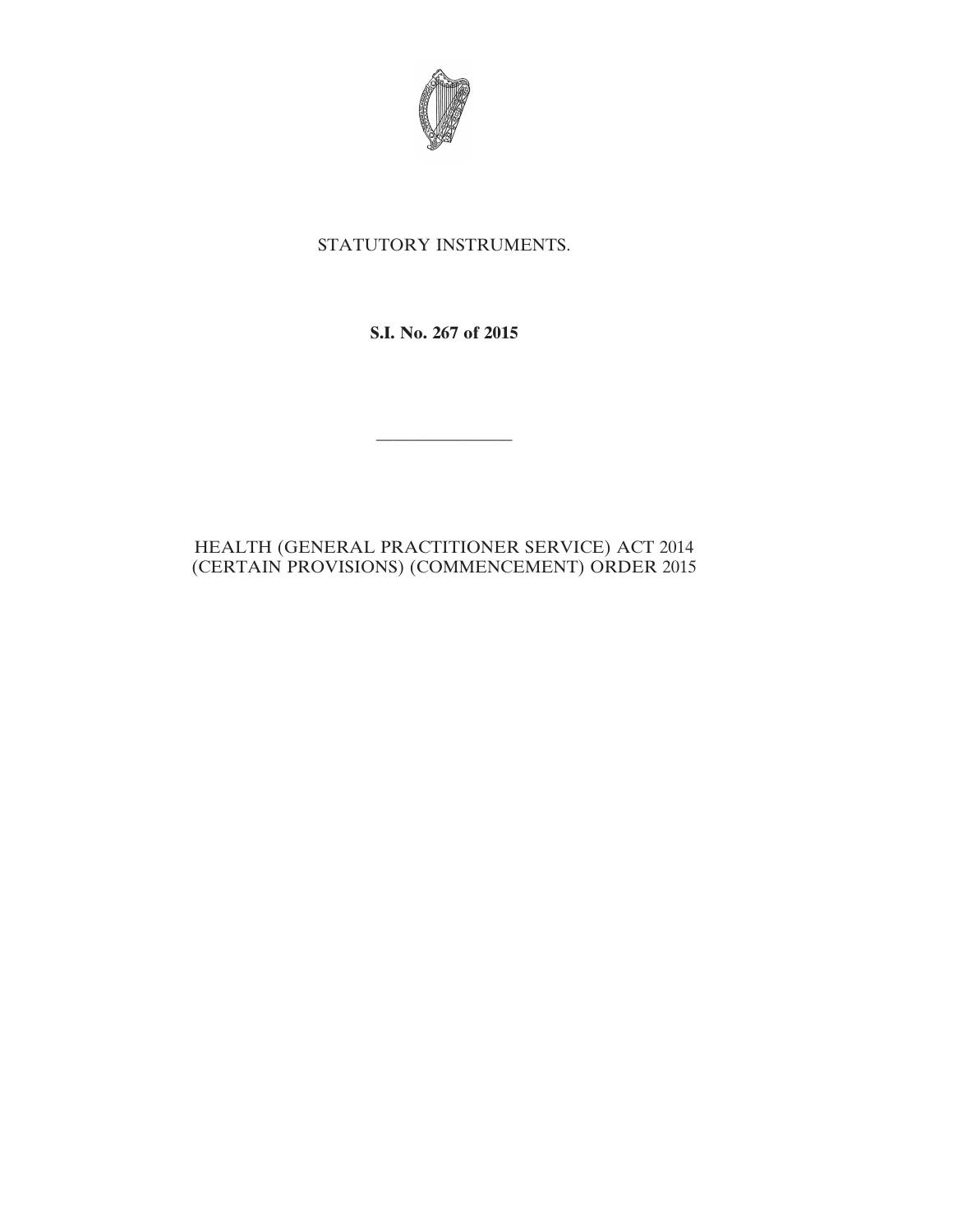

## STATUTORY INSTRUMENTS.

**S.I. No. 267 of 2015**

————————

## HEALTH (GENERAL PRACTITIONER SERVICE) ACT 2014 (CERTAIN PROVISIONS) (COMMENCEMENT) ORDER 2015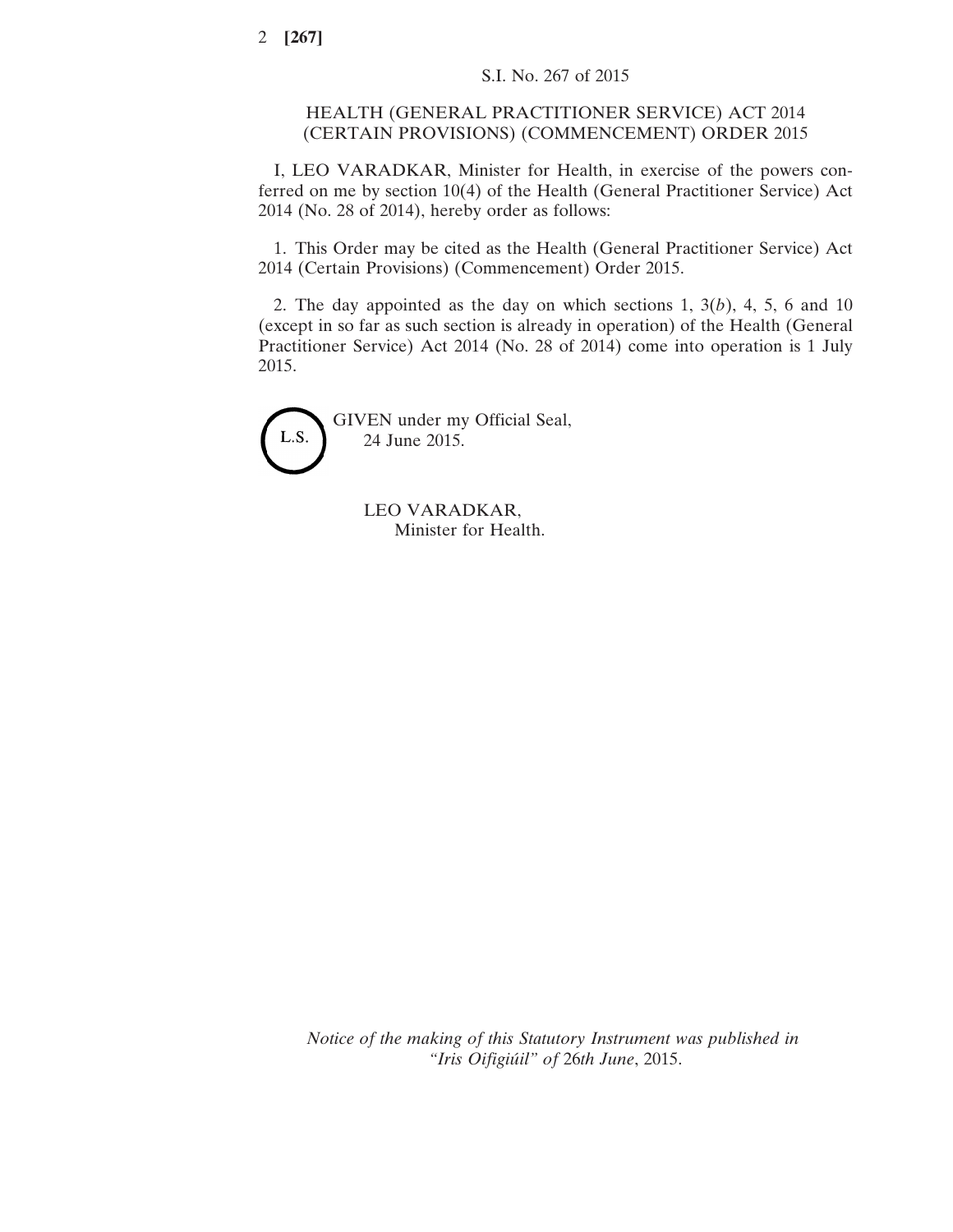## HEALTH (GENERAL PRACTITIONER SERVICE) ACT 2014 (CERTAIN PROVISIONS) (COMMENCEMENT) ORDER 2015

I, LEO VARADKAR, Minister for Health, in exercise of the powers conferred on me by section 10(4) of the Health (General Practitioner Service) Act 2014 (No. 28 of 2014), hereby order as follows:

1. This Order may be cited as the Health (General Practitioner Service) Act 2014 (Certain Provisions) (Commencement) Order 2015.

2. The day appointed as the day on which sections 1, 3(*b*), 4, 5, 6 and 10 (except in so far as such section is already in operation) of the Health (General Practitioner Service) Act 2014 (No. 28 of 2014) come into operation is 1 July 2015.



LEO VARADKAR, Minister for Health.

*Notice of the making of this Statutory Instrument was published in "Iris Oifigiúil" of* 26*th June*, 2015.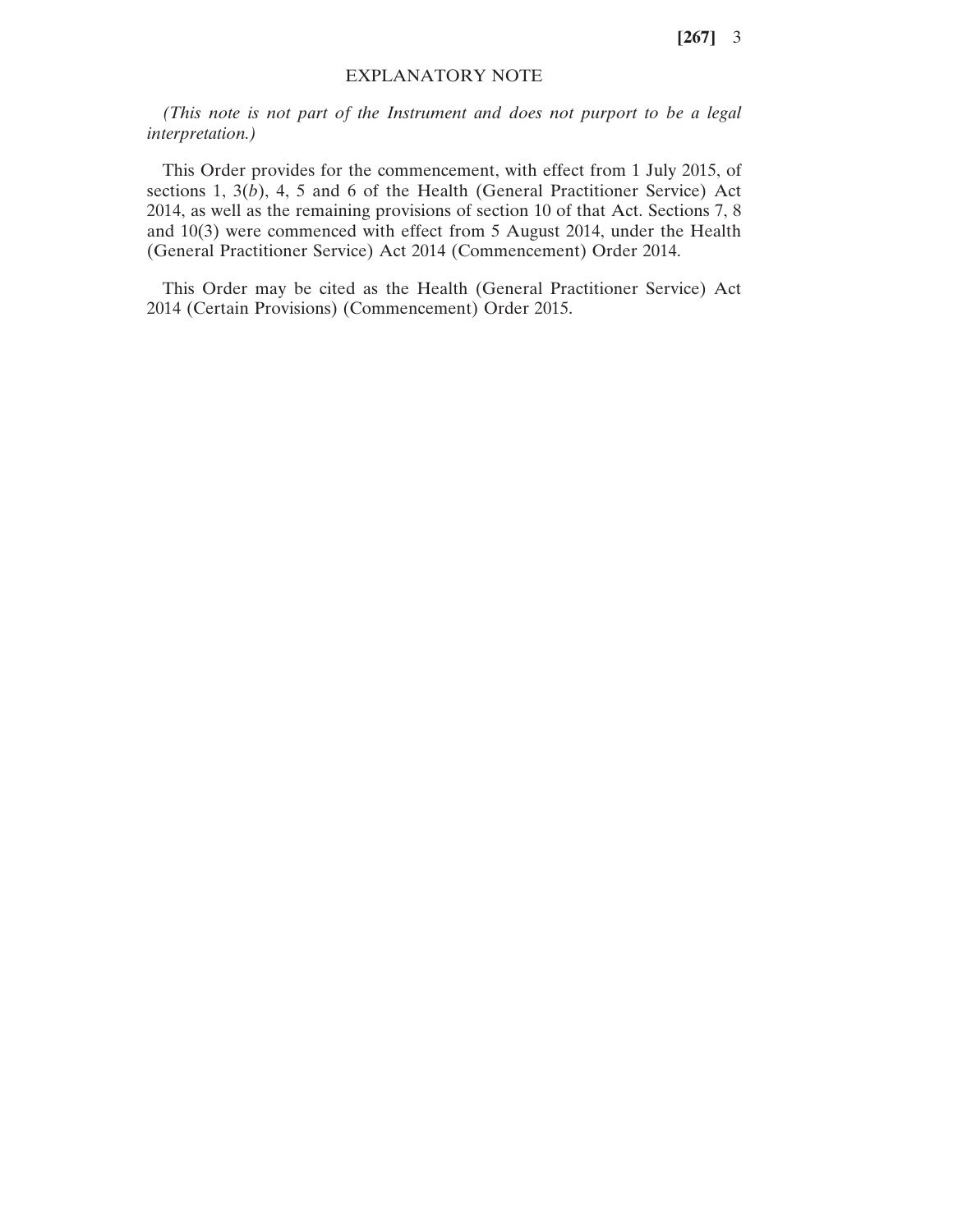**[267]** 3

## EXPLANATORY NOTE

*(This note is not part of the Instrument and does not purport to be a legal interpretation.)*

This Order provides for the commencement, with effect from 1 July 2015, of sections 1, 3(*b*), 4, 5 and 6 of the Health (General Practitioner Service) Act 2014, as well as the remaining provisions of section 10 of that Act. Sections 7, 8 and 10(3) were commenced with effect from 5 August 2014, under the Health (General Practitioner Service) Act 2014 (Commencement) Order 2014.

This Order may be cited as the Health (General Practitioner Service) Act 2014 (Certain Provisions) (Commencement) Order 2015.